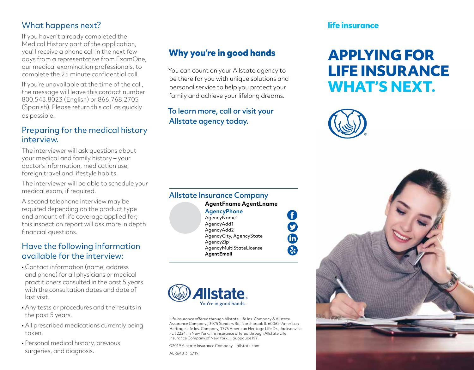## What happens next?

If you haven't already completed the Medical History part of the application, you'll receive a phone call in the next few days from a representative from ExamOne, our medical examination professionals, to complete the 25 minute confidential call.

If you're unavailable at the time of the call, the message will leave this contact number 800.543.8023 (English) or 866.768.2705 (Spanish). Please return this call as quickly as possible.

#### Preparing for the medical history interview.

The interviewer will ask questions about your medical and family history – your doctor's information, medication use, foreign travel and lifestyle habits.

The interviewer will be able to schedule your medical exam, if required.

A second telephone interview may be required depending on the product type and amount of life coverage applied for; this inspection report will ask more in depth financial questions.

#### Have the following information available for the interview:

- Contact information (name, address and phone) for all physicians or medical practitioners consulted in the past 5 years with the consultation dates and date of last visit.
- Any tests or procedures and the results in the past 5 years.
- All prescribed medications currently being taken.
- Personal medical history, previous surgeries, and diagnosis.

# **Why you're in good hands**

You can count on your Allstate agency to be there for you with unique solutions and personal service to help you protect your family and achieve your lifelong dreams.

#### To learn more, call or visit your Allstate agency today.

#### Allstate Insurance Company **AgentFname AgentLname**

**AgencyPhone** AgencyName1 AgencyAdd1 AgencyAdd2 AgencyCity, AgencyState AgencyZip AgencyMultiStateLicense **AgentEmail**

Ín \$



Life insurance offered through Allstate Life Ins. Company & Allstate Assurance Company., 3075 Sanders Rd, Northbrook IL 60062; American Heritage Life Ins. Company, 1776 American Heritage Life Dr., Jacksonville FL 32224. In New York, life insurance offered through Allstate Life Insurance Company of New York, Hauppauge NY.

©2019 Allstate Insurance Company allstate.com ALR648-3 5/19

#### **life insurance**

# **APPLYING FOR LIFE INSURANCE WHAT'S NEXT.**